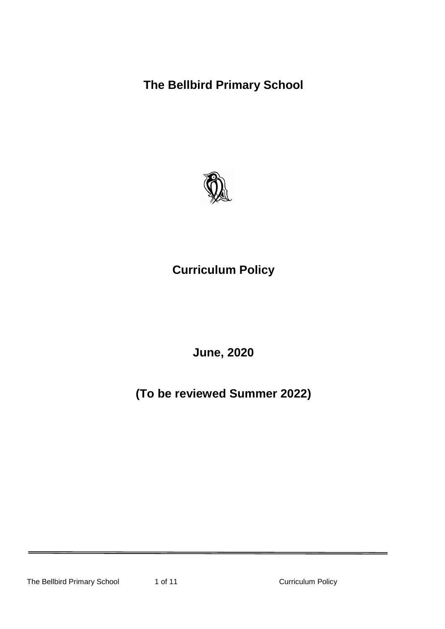**The Bellbird Primary School**



**Curriculum Policy**

**June, 2020**

**(To be reviewed Summer 2022)**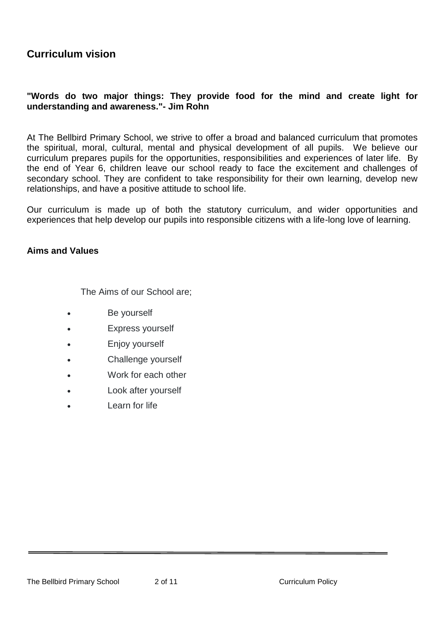# **Curriculum vision**

# **"Words do two major things: They provide food for the mind and create light for understanding and awareness."- Jim Rohn**

At The Bellbird Primary School, we strive to offer a broad and balanced curriculum that promotes the spiritual, moral, cultural, mental and physical development of all pupils. We believe our curriculum prepares pupils for the opportunities, responsibilities and experiences of later life. By the end of Year 6, children leave our school ready to face the excitement and challenges of secondary school. They are confident to take responsibility for their own learning, develop new relationships, and have a positive attitude to school life.

Our curriculum is made up of both the statutory curriculum, and wider opportunities and experiences that help develop our pupils into responsible citizens with a life-long love of learning.

## **Aims and Values**

The Aims of our School are;

- Be yourself
- Express yourself
- Enjoy yourself
- Challenge yourself
- Work for each other
- Look after yourself
- Learn for life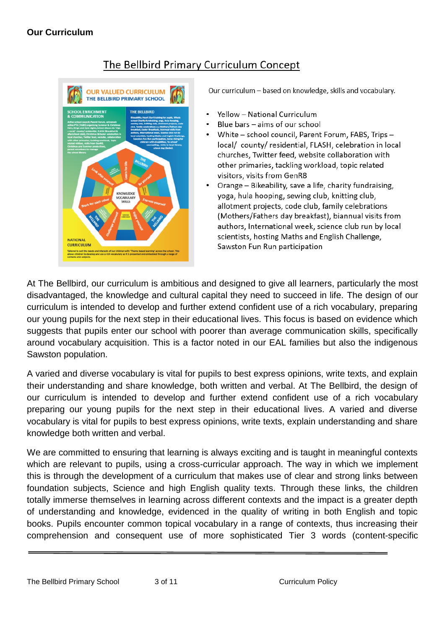

# The Bellbird Primary Curriculum Concept

Our curriculum - based on knowledge, skills and vocabulary.

- Yellow National Curriculum
- Blue bars aims of our school
- White school council, Parent Forum, FABS, Trips local/ county/residential, FLASH, celebration in local churches. Twitter feed, website collaboration with other primaries, tackling workload, topic related visitors, visits from GenR8
- Orange Bikeability, save a life, charity fundraising, yoga, hula hooping, sewing club, knitting club, allotment projects, code club, family celebrations (Mothers/Fathers day breakfast), biannual visits from authors, International week, science club run by local scientists, hosting Maths and English Challenge, Sawston Fun Run participation

At The Bellbird, our curriculum is ambitious and designed to give all learners, particularly the most disadvantaged, the knowledge and cultural capital they need to succeed in life. The design of our curriculum is intended to develop and further extend confident use of a rich vocabulary, preparing our young pupils for the next step in their educational lives. This focus is based on evidence which suggests that pupils enter our school with poorer than average communication skills, specifically around vocabulary acquisition. This is a factor noted in our EAL families but also the indigenous Sawston population.

A varied and diverse vocabulary is vital for pupils to best express opinions, write texts, and explain their understanding and share knowledge, both written and verbal. At The Bellbird, the design of our curriculum is intended to develop and further extend confident use of a rich vocabulary preparing our young pupils for the next step in their educational lives. A varied and diverse vocabulary is vital for pupils to best express opinions, write texts, explain understanding and share knowledge both written and verbal.

We are committed to ensuring that learning is always exciting and is taught in meaningful contexts which are relevant to pupils, using a cross-curricular approach. The way in which we implement this is through the development of a curriculum that makes use of clear and strong links between foundation subjects, Science and high English quality texts. Through these links, the children totally immerse themselves in learning across different contexts and the impact is a greater depth of understanding and knowledge, evidenced in the quality of writing in both English and topic books. Pupils encounter common topical vocabulary in a range of contexts, thus increasing their comprehension and consequent use of more sophisticated Tier 3 words (content-specific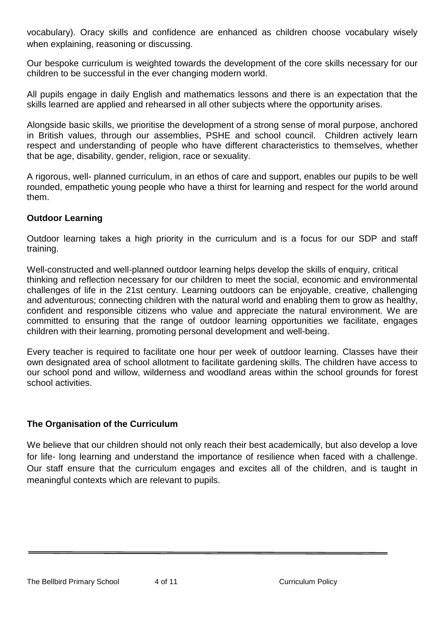vocabulary). Oracy skills and confidence are enhanced as children choose vocabulary wisely when explaining, reasoning or discussing.

Our bespoke curriculum is weighted towards the development of the core skills necessary for our children to be successful in the ever changing modern world.

All pupils engage in daily English and mathematics lessons and there is an expectation that the skills learned are applied and rehearsed in all other subjects where the opportunity arises.

Alongside basic skills, we prioritise the development of a strong sense of moral purpose, anchored in British values, through our assemblies, PSHE and school council. Children actively learn respect and understanding of people who have different characteristics to themselves, whether that be age, disability, gender, religion, race or sexuality.

A rigorous, well- planned curriculum, in an ethos of care and support, enables our pupils to be well rounded, empathetic young people who have a thirst for learning and respect for the world around them.

# **Outdoor Learning**

Outdoor learning takes a high priority in the curriculum and is a focus for our SDP and staff training.

Well-constructed and well-planned outdoor learning helps develop the skills of enquiry, critical thinking and reflection necessary for our children to meet the social, economic and environmental challenges of life in the 21st century. Learning outdoors can be enjoyable, creative, challenging and adventurous; connecting children with the natural world and enabling them to grow as healthy, confident and responsible citizens who value and appreciate the natural environment. We are committed to ensuring that the range of outdoor learning opportunities we facilitate, engages children with their learning, promoting personal development and well-being.

Every teacher is required to facilitate one hour per week of outdoor learning. Classes have their own designated area of school allotment to facilitate gardening skills. The children have access to our school pond and willow, wilderness and woodland areas within the school grounds for forest school activities.

# **The Organisation of the Curriculum**

We believe that our children should not only reach their best academically, but also develop a love for life- long learning and understand the importance of resilience when faced with a challenge. Our staff ensure that the curriculum engages and excites all of the children, and is taught in meaningful contexts which are relevant to pupils.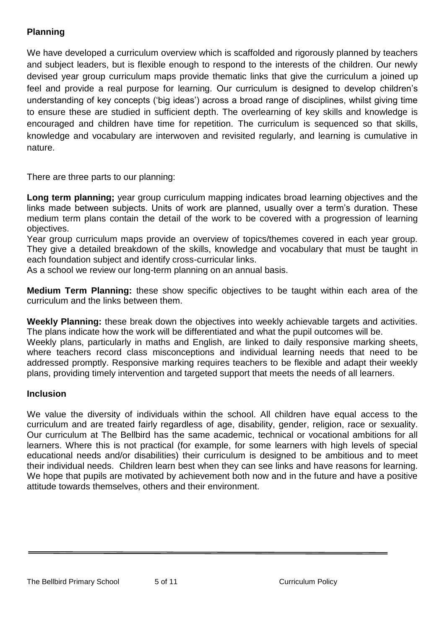# **Planning**

We have developed a curriculum overview which is scaffolded and rigorously planned by teachers and subject leaders, but is flexible enough to respond to the interests of the children. Our newly devised year group curriculum maps provide thematic links that give the curriculum a joined up feel and provide a real purpose for learning. Our curriculum is designed to develop children's understanding of key concepts ('big ideas') across a broad range of disciplines, whilst giving time to ensure these are studied in sufficient depth. The overlearning of key skills and knowledge is encouraged and children have time for repetition. The curriculum is sequenced so that skills, knowledge and vocabulary are interwoven and revisited regularly, and learning is cumulative in nature.

There are three parts to our planning:

**Long term planning;** year group curriculum mapping indicates broad learning objectives and the links made between subjects. Units of work are planned, usually over a term's duration. These medium term plans contain the detail of the work to be covered with a progression of learning objectives.

Year group curriculum maps provide an overview of topics/themes covered in each year group. They give a detailed breakdown of the skills, knowledge and vocabulary that must be taught in each foundation subject and identify cross-curricular links.

As a school we review our long-term planning on an annual basis.

**Medium Term Planning:** these show specific objectives to be taught within each area of the curriculum and the links between them.

**Weekly Planning:** these break down the objectives into weekly achievable targets and activities. The plans indicate how the work will be differentiated and what the pupil outcomes will be.

Weekly plans, particularly in maths and English, are linked to daily responsive marking sheets, where teachers record class misconceptions and individual learning needs that need to be addressed promptly. Responsive marking requires teachers to be flexible and adapt their weekly plans, providing timely intervention and targeted support that meets the needs of all learners.

# **Inclusion**

We value the diversity of individuals within the school. All children have equal access to the curriculum and are treated fairly regardless of age, disability, gender, religion, race or sexuality. Our curriculum at The Bellbird has the same academic, technical or vocational ambitions for all learners. Where this is not practical (for example, for some learners with high levels of special educational needs and/or disabilities) their curriculum is designed to be ambitious and to meet their individual needs. Children learn best when they can see links and have reasons for learning. We hope that pupils are motivated by achievement both now and in the future and have a positive attitude towards themselves, others and their environment.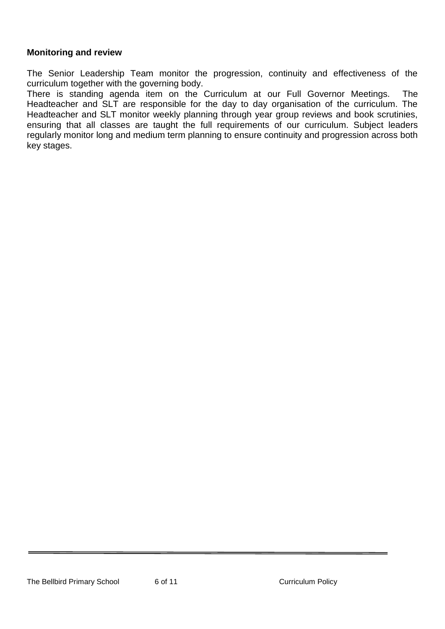# **Monitoring and review**

The Senior Leadership Team monitor the progression, continuity and effectiveness of the curriculum together with the governing body.

There is standing agenda item on the Curriculum at our Full Governor Meetings. The Headteacher and SLT are responsible for the day to day organisation of the curriculum. The Headteacher and SLT monitor weekly planning through year group reviews and book scrutinies, ensuring that all classes are taught the full requirements of our curriculum. Subject leaders regularly monitor long and medium term planning to ensure continuity and progression across both key stages.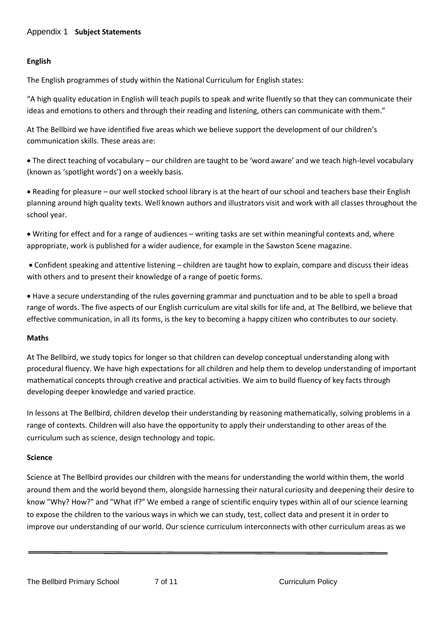## **English**

The English programmes of study within the National Curriculum for English states:

"A high quality education in English will teach pupils to speak and write fluently so that they can communicate their ideas and emotions to others and through their reading and listening, others can communicate with them."

At The Bellbird we have identified five areas which we believe support the development of our children's communication skills. These areas are:

 The direct teaching of vocabulary – our children are taught to be 'word aware' and we teach high-level vocabulary (known as 'spotlight words') on a weekly basis.

 Reading for pleasure – our well stocked school library is at the heart of our school and teachers base their English planning around high quality texts. Well known authors and illustrators visit and work with all classes throughout the school year.

 Writing for effect and for a range of audiences – writing tasks are set within meaningful contexts and, where appropriate, work is published for a wider audience, for example in the Sawston Scene magazine.

 Confident speaking and attentive listening – children are taught how to explain, compare and discuss their ideas with others and to present their knowledge of a range of poetic forms.

 Have a secure understanding of the rules governing grammar and punctuation and to be able to spell a broad range of words. The five aspects of our English curriculum are vital skills for life and, at The Bellbird, we believe that effective communication, in all its forms, is the key to becoming a happy citizen who contributes to our society.

#### **Maths**

At The Bellbird, we study topics for longer so that children can develop conceptual understanding along with procedural fluency. We have high expectations for all children and help them to develop understanding of important mathematical concepts through creative and practical activities. We aim to build fluency of key facts through developing deeper knowledge and varied practice.

In lessons at The Bellbird, children develop their understanding by reasoning mathematically, solving problems in a range of contexts. Children will also have the opportunity to apply their understanding to other areas of the curriculum such as science, design technology and topic.

#### **Science**

Science at The Bellbird provides our children with the means for understanding the world within them, the world around them and the world beyond them, alongside harnessing their natural curiosity and deepening their desire to know "Why? How?" and "What if?" We embed a range of scientific enquiry types within all of our science learning to expose the children to the various ways in which we can study, test, collect data and present it in order to improve our understanding of our world. Our science curriculum interconnects with other curriculum areas as we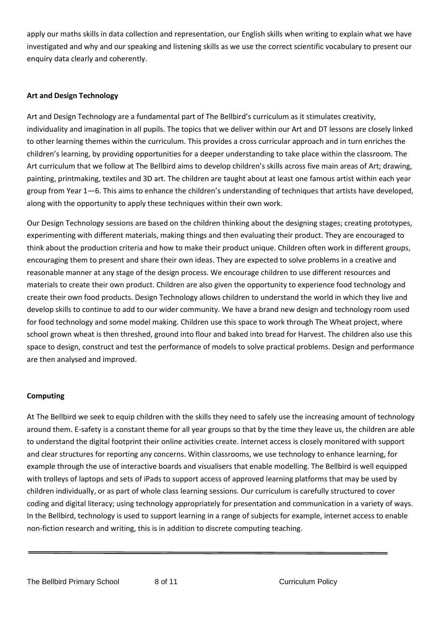apply our maths skills in data collection and representation, our English skills when writing to explain what we have investigated and why and our speaking and listening skills as we use the correct scientific vocabulary to present our enquiry data clearly and coherently.

#### **Art and Design Technology**

Art and Design Technology are a fundamental part of The Bellbird's curriculum as it stimulates creativity, individuality and imagination in all pupils. The topics that we deliver within our Art and DT lessons are closely linked to other learning themes within the curriculum. This provides a cross curricular approach and in turn enriches the children's learning, by providing opportunities for a deeper understanding to take place within the classroom. The Art curriculum that we follow at The Bellbird aims to develop children's skills across five main areas of Art; drawing, painting, printmaking, textiles and 3D art. The children are taught about at least one famous artist within each year group from Year 1—6. This aims to enhance the children's understanding of techniques that artists have developed, along with the opportunity to apply these techniques within their own work.

Our Design Technology sessions are based on the children thinking about the designing stages; creating prototypes, experimenting with different materials, making things and then evaluating their product. They are encouraged to think about the production criteria and how to make their product unique. Children often work in different groups, encouraging them to present and share their own ideas. They are expected to solve problems in a creative and reasonable manner at any stage of the design process. We encourage children to use different resources and materials to create their own product. Children are also given the opportunity to experience food technology and create their own food products. Design Technology allows children to understand the world in which they live and develop skills to continue to add to our wider community. We have a brand new design and technology room used for food technology and some model making. Children use this space to work through The Wheat project, where school grown wheat is then threshed, ground into flour and baked into bread for Harvest. The children also use this space to design, construct and test the performance of models to solve practical problems. Design and performance are then analysed and improved.

#### **Computing**

At The Bellbird we seek to equip children with the skills they need to safely use the increasing amount of technology around them. E-safety is a constant theme for all year groups so that by the time they leave us, the children are able to understand the digital footprint their online activities create. Internet access is closely monitored with support and clear structures for reporting any concerns. Within classrooms, we use technology to enhance learning, for example through the use of interactive boards and visualisers that enable modelling. The Bellbird is well equipped with trolleys of laptops and sets of iPads to support access of approved learning platforms that may be used by children individually, or as part of whole class learning sessions. Our curriculum is carefully structured to cover coding and digital literacy; using technology appropriately for presentation and communication in a variety of ways. In the Bellbird, technology is used to support learning in a range of subjects for example, internet access to enable non-fiction research and writing, this is in addition to discrete computing teaching.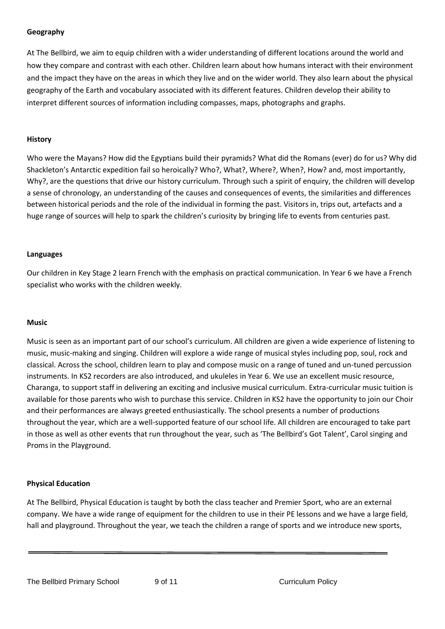#### **Geography**

At The Bellbird, we aim to equip children with a wider understanding of different locations around the world and how they compare and contrast with each other. Children learn about how humans interact with their environment and the impact they have on the areas in which they live and on the wider world. They also learn about the physical geography of the Earth and vocabulary associated with its different features. Children develop their ability to interpret different sources of information including compasses, maps, photographs and graphs.

#### **History**

Who were the Mayans? How did the Egyptians build their pyramids? What did the Romans (ever) do for us? Why did Shackleton's Antarctic expedition fail so heroically? Who?, What?, Where?, When?, How? and, most importantly, Why?, are the questions that drive our history curriculum. Through such a spirit of enquiry, the children will develop a sense of chronology, an understanding of the causes and consequences of events, the similarities and differences between historical periods and the role of the individual in forming the past. Visitors in, trips out, artefacts and a huge range of sources will help to spark the children's curiosity by bringing life to events from centuries past.

#### **Languages**

Our children in Key Stage 2 learn French with the emphasis on practical communication. In Year 6 we have a French specialist who works with the children weekly.

#### **Music**

Music is seen as an important part of our school's curriculum. All children are given a wide experience of listening to music, music-making and singing. Children will explore a wide range of musical styles including pop, soul, rock and classical. Across the school, children learn to play and compose music on a range of tuned and un-tuned percussion instruments. In KS2 recorders are also introduced, and ukuleles in Year 6. We use an excellent music resource, Charanga, to support staff in delivering an exciting and inclusive musical curriculum. Extra-curricular music tuition is available for those parents who wish to purchase this service. Children in KS2 have the opportunity to join our Choir and their performances are always greeted enthusiastically. The school presents a number of productions throughout the year, which are a well-supported feature of our school life. All children are encouraged to take part in those as well as other events that run throughout the year, such as 'The Bellbird's Got Talent', Carol singing and Proms in the Playground.

#### **Physical Education**

At The Bellbird, Physical Education is taught by both the class teacher and Premier Sport, who are an external company. We have a wide range of equipment for the children to use in their PE lessons and we have a large field, hall and playground. Throughout the year, we teach the children a range of sports and we introduce new sports,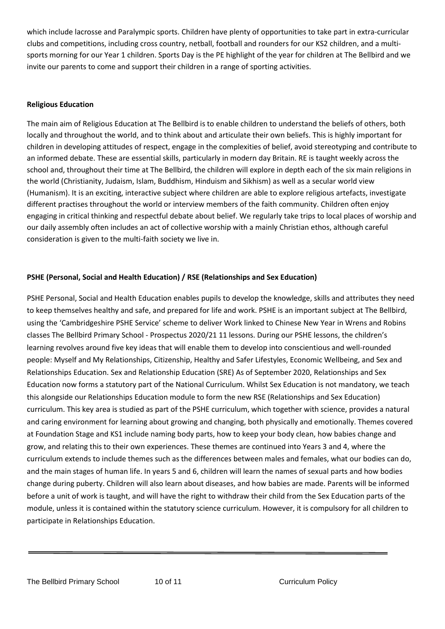which include lacrosse and Paralympic sports. Children have plenty of opportunities to take part in extra-curricular clubs and competitions, including cross country, netball, football and rounders for our KS2 children, and a multisports morning for our Year 1 children. Sports Day is the PE highlight of the year for children at The Bellbird and we invite our parents to come and support their children in a range of sporting activities.

#### **Religious Education**

The main aim of Religious Education at The Bellbird is to enable children to understand the beliefs of others, both locally and throughout the world, and to think about and articulate their own beliefs. This is highly important for children in developing attitudes of respect, engage in the complexities of belief, avoid stereotyping and contribute to an informed debate. These are essential skills, particularly in modern day Britain. RE is taught weekly across the school and, throughout their time at The Bellbird, the children will explore in depth each of the six main religions in the world (Christianity, Judaism, Islam, Buddhism, Hinduism and Sikhism) as well as a secular world view (Humanism). It is an exciting, interactive subject where children are able to explore religious artefacts, investigate different practises throughout the world or interview members of the faith community. Children often enjoy engaging in critical thinking and respectful debate about belief. We regularly take trips to local places of worship and our daily assembly often includes an act of collective worship with a mainly Christian ethos, although careful consideration is given to the multi-faith society we live in.

#### **PSHE (Personal, Social and Health Education) / RSE (Relationships and Sex Education)**

PSHE Personal, Social and Health Education enables pupils to develop the knowledge, skills and attributes they need to keep themselves healthy and safe, and prepared for life and work. PSHE is an important subject at The Bellbird, using the 'Cambridgeshire PSHE Service' scheme to deliver Work linked to Chinese New Year in Wrens and Robins classes The Bellbird Primary School - Prospectus 2020/21 11 lessons. During our PSHE lessons, the children's learning revolves around five key ideas that will enable them to develop into conscientious and well-rounded people: Myself and My Relationships, Citizenship, Healthy and Safer Lifestyles, Economic Wellbeing, and Sex and Relationships Education. Sex and Relationship Education (SRE) As of September 2020, Relationships and Sex Education now forms a statutory part of the National Curriculum. Whilst Sex Education is not mandatory, we teach this alongside our Relationships Education module to form the new RSE (Relationships and Sex Education) curriculum. This key area is studied as part of the PSHE curriculum, which together with science, provides a natural and caring environment for learning about growing and changing, both physically and emotionally. Themes covered at Foundation Stage and KS1 include naming body parts, how to keep your body clean, how babies change and grow, and relating this to their own experiences. These themes are continued into Years 3 and 4, where the curriculum extends to include themes such as the differences between males and females, what our bodies can do, and the main stages of human life. In years 5 and 6, children will learn the names of sexual parts and how bodies change during puberty. Children will also learn about diseases, and how babies are made. Parents will be informed before a unit of work is taught, and will have the right to withdraw their child from the Sex Education parts of the module, unless it is contained within the statutory science curriculum. However, it is compulsory for all children to participate in Relationships Education.

The Bellbird Primary School 10 of 11 11 11 Curriculum Policy